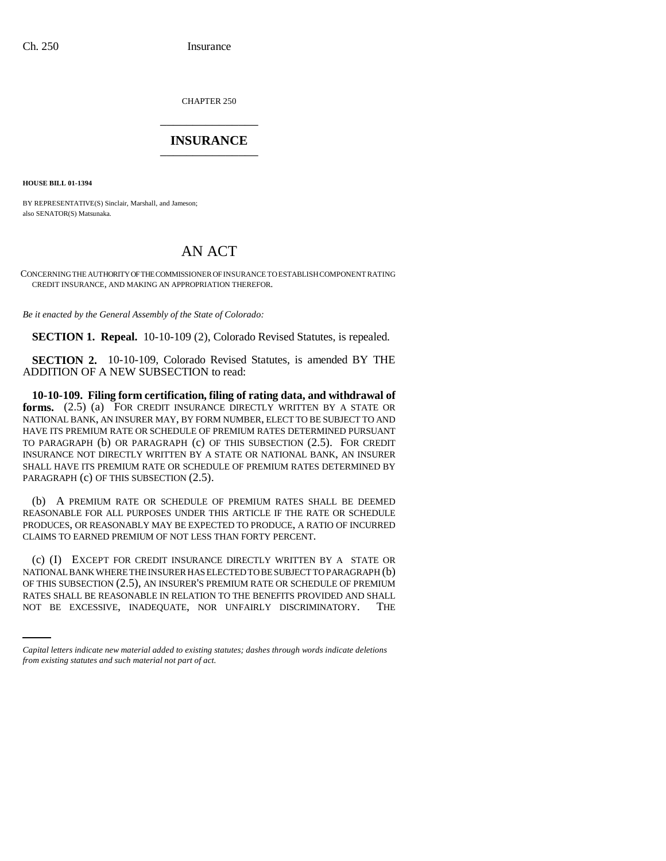CHAPTER 250 \_\_\_\_\_\_\_\_\_\_\_\_\_\_\_

# **INSURANCE** \_\_\_\_\_\_\_\_\_\_\_\_\_\_\_

**HOUSE BILL 01-1394**

BY REPRESENTATIVE(S) Sinclair, Marshall, and Jameson; also SENATOR(S) Matsunaka.

# AN ACT

CONCERNING THE AUTHORITY OF THE COMMISSIONER OF INSURANCE TO ESTABLISH COMPONENT RATING CREDIT INSURANCE, AND MAKING AN APPROPRIATION THEREFOR.

*Be it enacted by the General Assembly of the State of Colorado:*

**SECTION 1. Repeal.** 10-10-109 (2), Colorado Revised Statutes, is repealed.

**SECTION 2.** 10-10-109, Colorado Revised Statutes, is amended BY THE ADDITION OF A NEW SUBSECTION to read:

**10-10-109. Filing form certification, filing of rating data, and withdrawal of forms.** (2.5) (a) FOR CREDIT INSURANCE DIRECTLY WRITTEN BY A STATE OR NATIONAL BANK, AN INSURER MAY, BY FORM NUMBER, ELECT TO BE SUBJECT TO AND HAVE ITS PREMIUM RATE OR SCHEDULE OF PREMIUM RATES DETERMINED PURSUANT TO PARAGRAPH (b) OR PARAGRAPH (c) OF THIS SUBSECTION (2.5). FOR CREDIT INSURANCE NOT DIRECTLY WRITTEN BY A STATE OR NATIONAL BANK, AN INSURER SHALL HAVE ITS PREMIUM RATE OR SCHEDULE OF PREMIUM RATES DETERMINED BY PARAGRAPH (c) OF THIS SUBSECTION (2.5).

(b) A PREMIUM RATE OR SCHEDULE OF PREMIUM RATES SHALL BE DEEMED REASONABLE FOR ALL PURPOSES UNDER THIS ARTICLE IF THE RATE OR SCHEDULE PRODUCES, OR REASONABLY MAY BE EXPECTED TO PRODUCE, A RATIO OF INCURRED CLAIMS TO EARNED PREMIUM OF NOT LESS THAN FORTY PERCENT.

OF THIS SUBSECTION (2.5), AN INSURER'S PREMIUM RATE OR SCHEDULE OF PREMIUM (c) (I) EXCEPT FOR CREDIT INSURANCE DIRECTLY WRITTEN BY A STATE OR NATIONAL BANK WHERE THE INSURER HAS ELECTED TO BE SUBJECT TO PARAGRAPH (b) RATES SHALL BE REASONABLE IN RELATION TO THE BENEFITS PROVIDED AND SHALL NOT BE EXCESSIVE, INADEQUATE, NOR UNFAIRLY DISCRIMINATORY. THE

*Capital letters indicate new material added to existing statutes; dashes through words indicate deletions from existing statutes and such material not part of act.*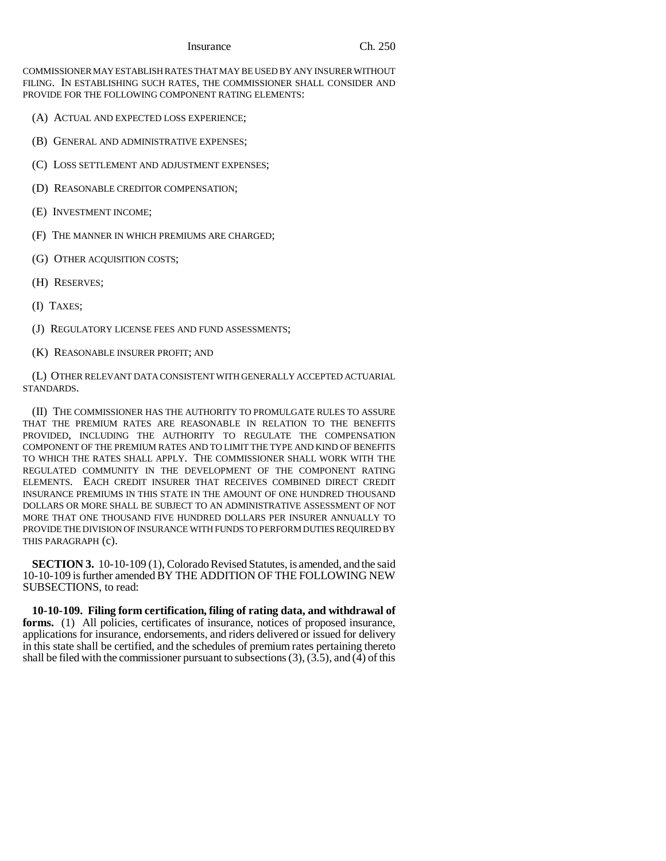#### Insurance Ch. 250

COMMISSIONER MAY ESTABLISH RATES THAT MAY BE USED BY ANY INSURER WITHOUT FILING. IN ESTABLISHING SUCH RATES, THE COMMISSIONER SHALL CONSIDER AND PROVIDE FOR THE FOLLOWING COMPONENT RATING ELEMENTS:

- (A) ACTUAL AND EXPECTED LOSS EXPERIENCE;
- (B) GENERAL AND ADMINISTRATIVE EXPENSES;
- (C) LOSS SETTLEMENT AND ADJUSTMENT EXPENSES;
- (D) REASONABLE CREDITOR COMPENSATION;
- (E) INVESTMENT INCOME;
- (F) THE MANNER IN WHICH PREMIUMS ARE CHARGED;
- (G) OTHER ACQUISITION COSTS;
- (H) RESERVES;
- (I) TAXES;
- (J) REGULATORY LICENSE FEES AND FUND ASSESSMENTS;
- (K) REASONABLE INSURER PROFIT; AND

(L) OTHER RELEVANT DATA CONSISTENT WITH GENERALLY ACCEPTED ACTUARIAL STANDARDS.

(II) THE COMMISSIONER HAS THE AUTHORITY TO PROMULGATE RULES TO ASSURE THAT THE PREMIUM RATES ARE REASONABLE IN RELATION TO THE BENEFITS PROVIDED, INCLUDING THE AUTHORITY TO REGULATE THE COMPENSATION COMPONENT OF THE PREMIUM RATES AND TO LIMIT THE TYPE AND KIND OF BENEFITS TO WHICH THE RATES SHALL APPLY. THE COMMISSIONER SHALL WORK WITH THE REGULATED COMMUNITY IN THE DEVELOPMENT OF THE COMPONENT RATING ELEMENTS. EACH CREDIT INSURER THAT RECEIVES COMBINED DIRECT CREDIT INSURANCE PREMIUMS IN THIS STATE IN THE AMOUNT OF ONE HUNDRED THOUSAND DOLLARS OR MORE SHALL BE SUBJECT TO AN ADMINISTRATIVE ASSESSMENT OF NOT MORE THAT ONE THOUSAND FIVE HUNDRED DOLLARS PER INSURER ANNUALLY TO PROVIDE THE DIVISION OF INSURANCE WITH FUNDS TO PERFORM DUTIES REQUIRED BY THIS PARAGRAPH (c).

**SECTION 3.** 10-10-109 (1), Colorado Revised Statutes, is amended, and the said 10-10-109 is further amended BY THE ADDITION OF THE FOLLOWING NEW SUBSECTIONS, to read:

**10-10-109. Filing form certification, filing of rating data, and withdrawal of forms.** (1) All policies, certificates of insurance, notices of proposed insurance, applications for insurance, endorsements, and riders delivered or issued for delivery in this state shall be certified, and the schedules of premium rates pertaining thereto shall be filed with the commissioner pursuant to subsections  $(3)$ ,  $(3.5)$ , and  $(4)$  of this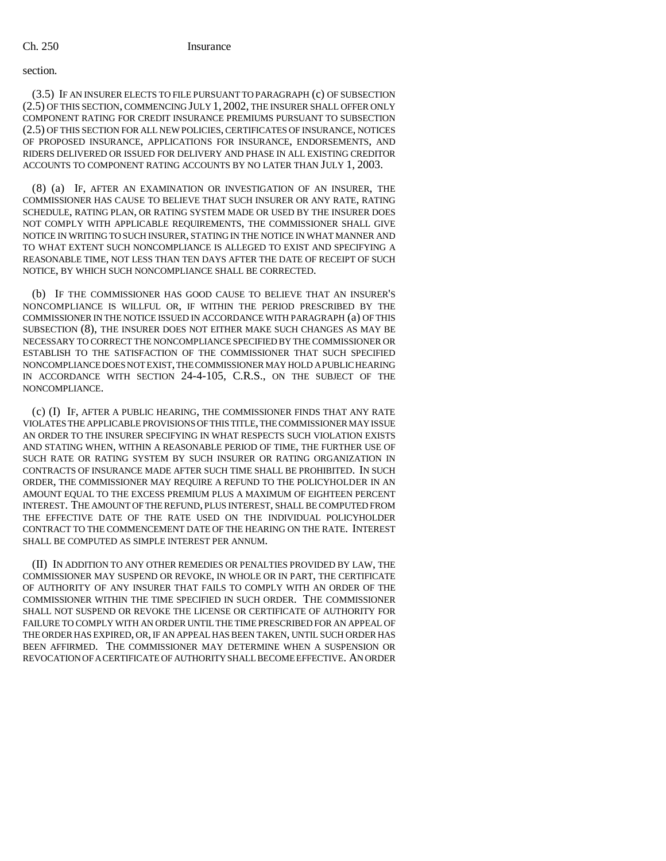#### Ch. 250 Insurance

## section.

(3.5) IF AN INSURER ELECTS TO FILE PURSUANT TO PARAGRAPH (c) OF SUBSECTION (2.5) OF THIS SECTION, COMMENCING JULY 1, 2002, THE INSURER SHALL OFFER ONLY COMPONENT RATING FOR CREDIT INSURANCE PREMIUMS PURSUANT TO SUBSECTION (2.5) OF THIS SECTION FOR ALL NEW POLICIES, CERTIFICATES OF INSURANCE, NOTICES OF PROPOSED INSURANCE, APPLICATIONS FOR INSURANCE, ENDORSEMENTS, AND RIDERS DELIVERED OR ISSUED FOR DELIVERY AND PHASE IN ALL EXISTING CREDITOR ACCOUNTS TO COMPONENT RATING ACCOUNTS BY NO LATER THAN JULY 1, 2003.

(8) (a) IF, AFTER AN EXAMINATION OR INVESTIGATION OF AN INSURER, THE COMMISSIONER HAS CAUSE TO BELIEVE THAT SUCH INSURER OR ANY RATE, RATING SCHEDULE, RATING PLAN, OR RATING SYSTEM MADE OR USED BY THE INSURER DOES NOT COMPLY WITH APPLICABLE REQUIREMENTS, THE COMMISSIONER SHALL GIVE NOTICE IN WRITING TO SUCH INSURER, STATING IN THE NOTICE IN WHAT MANNER AND TO WHAT EXTENT SUCH NONCOMPLIANCE IS ALLEGED TO EXIST AND SPECIFYING A REASONABLE TIME, NOT LESS THAN TEN DAYS AFTER THE DATE OF RECEIPT OF SUCH NOTICE, BY WHICH SUCH NONCOMPLIANCE SHALL BE CORRECTED.

(b) IF THE COMMISSIONER HAS GOOD CAUSE TO BELIEVE THAT AN INSURER'S NONCOMPLIANCE IS WILLFUL OR, IF WITHIN THE PERIOD PRESCRIBED BY THE COMMISSIONER IN THE NOTICE ISSUED IN ACCORDANCE WITH PARAGRAPH (a) OF THIS SUBSECTION (8), THE INSURER DOES NOT EITHER MAKE SUCH CHANGES AS MAY BE NECESSARY TO CORRECT THE NONCOMPLIANCE SPECIFIED BY THE COMMISSIONER OR ESTABLISH TO THE SATISFACTION OF THE COMMISSIONER THAT SUCH SPECIFIED NONCOMPLIANCE DOES NOT EXIST, THE COMMISSIONER MAY HOLD A PUBLIC HEARING IN ACCORDANCE WITH SECTION 24-4-105, C.R.S., ON THE SUBJECT OF THE NONCOMPLIANCE.

(c) (I) IF, AFTER A PUBLIC HEARING, THE COMMISSIONER FINDS THAT ANY RATE VIOLATES THE APPLICABLE PROVISIONS OF THIS TITLE, THE COMMISSIONER MAY ISSUE AN ORDER TO THE INSURER SPECIFYING IN WHAT RESPECTS SUCH VIOLATION EXISTS AND STATING WHEN, WITHIN A REASONABLE PERIOD OF TIME, THE FURTHER USE OF SUCH RATE OR RATING SYSTEM BY SUCH INSURER OR RATING ORGANIZATION IN CONTRACTS OF INSURANCE MADE AFTER SUCH TIME SHALL BE PROHIBITED. IN SUCH ORDER, THE COMMISSIONER MAY REQUIRE A REFUND TO THE POLICYHOLDER IN AN AMOUNT EQUAL TO THE EXCESS PREMIUM PLUS A MAXIMUM OF EIGHTEEN PERCENT INTEREST. THE AMOUNT OF THE REFUND, PLUS INTEREST, SHALL BE COMPUTED FROM THE EFFECTIVE DATE OF THE RATE USED ON THE INDIVIDUAL POLICYHOLDER CONTRACT TO THE COMMENCEMENT DATE OF THE HEARING ON THE RATE. INTEREST SHALL BE COMPUTED AS SIMPLE INTEREST PER ANNUM.

(II) IN ADDITION TO ANY OTHER REMEDIES OR PENALTIES PROVIDED BY LAW, THE COMMISSIONER MAY SUSPEND OR REVOKE, IN WHOLE OR IN PART, THE CERTIFICATE OF AUTHORITY OF ANY INSURER THAT FAILS TO COMPLY WITH AN ORDER OF THE COMMISSIONER WITHIN THE TIME SPECIFIED IN SUCH ORDER. THE COMMISSIONER SHALL NOT SUSPEND OR REVOKE THE LICENSE OR CERTIFICATE OF AUTHORITY FOR FAILURE TO COMPLY WITH AN ORDER UNTIL THE TIME PRESCRIBED FOR AN APPEAL OF THE ORDER HAS EXPIRED, OR, IF AN APPEAL HAS BEEN TAKEN, UNTIL SUCH ORDER HAS BEEN AFFIRMED. THE COMMISSIONER MAY DETERMINE WHEN A SUSPENSION OR REVOCATION OF A CERTIFICATE OF AUTHORITY SHALL BECOME EFFECTIVE. AN ORDER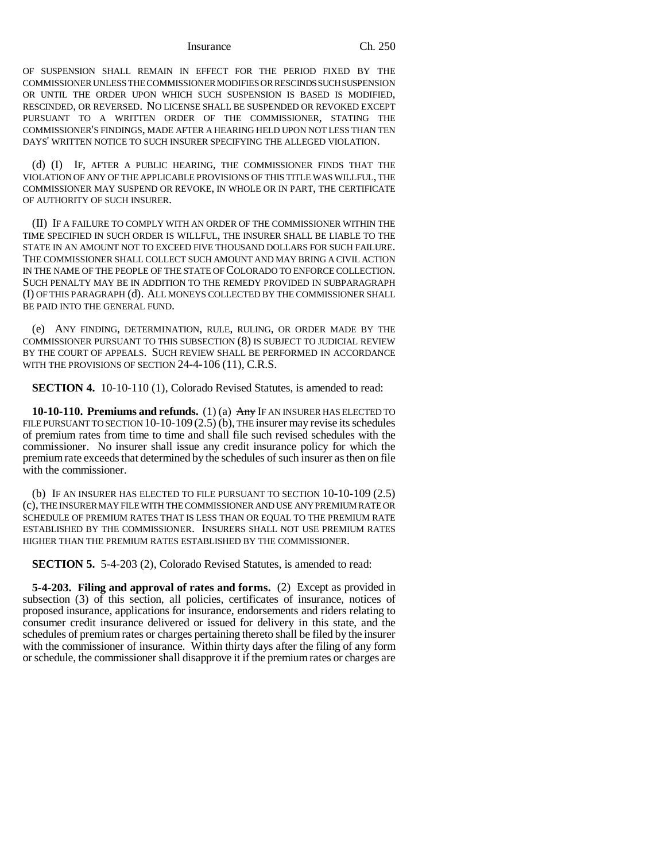#### Insurance Ch. 250

OF SUSPENSION SHALL REMAIN IN EFFECT FOR THE PERIOD FIXED BY THE COMMISSIONER UNLESS THE COMMISSIONER MODIFIES OR RESCINDS SUCH SUSPENSION OR UNTIL THE ORDER UPON WHICH SUCH SUSPENSION IS BASED IS MODIFIED, RESCINDED, OR REVERSED. NO LICENSE SHALL BE SUSPENDED OR REVOKED EXCEPT PURSUANT TO A WRITTEN ORDER OF THE COMMISSIONER, STATING THE COMMISSIONER'S FINDINGS, MADE AFTER A HEARING HELD UPON NOT LESS THAN TEN DAYS' WRITTEN NOTICE TO SUCH INSURER SPECIFYING THE ALLEGED VIOLATION.

(d) (I) IF, AFTER A PUBLIC HEARING, THE COMMISSIONER FINDS THAT THE VIOLATION OF ANY OF THE APPLICABLE PROVISIONS OF THIS TITLE WAS WILLFUL, THE COMMISSIONER MAY SUSPEND OR REVOKE, IN WHOLE OR IN PART, THE CERTIFICATE OF AUTHORITY OF SUCH INSURER.

(II) IF A FAILURE TO COMPLY WITH AN ORDER OF THE COMMISSIONER WITHIN THE TIME SPECIFIED IN SUCH ORDER IS WILLFUL, THE INSURER SHALL BE LIABLE TO THE STATE IN AN AMOUNT NOT TO EXCEED FIVE THOUSAND DOLLARS FOR SUCH FAILURE. THE COMMISSIONER SHALL COLLECT SUCH AMOUNT AND MAY BRING A CIVIL ACTION IN THE NAME OF THE PEOPLE OF THE STATE OF COLORADO TO ENFORCE COLLECTION. SUCH PENALTY MAY BE IN ADDITION TO THE REMEDY PROVIDED IN SUBPARAGRAPH (I) OF THIS PARAGRAPH (d). ALL MONEYS COLLECTED BY THE COMMISSIONER SHALL BE PAID INTO THE GENERAL FUND.

(e) ANY FINDING, DETERMINATION, RULE, RULING, OR ORDER MADE BY THE COMMISSIONER PURSUANT TO THIS SUBSECTION (8) IS SUBJECT TO JUDICIAL REVIEW BY THE COURT OF APPEALS. SUCH REVIEW SHALL BE PERFORMED IN ACCORDANCE WITH THE PROVISIONS OF SECTION 24-4-106 (11), C.R.S.

**SECTION 4.** 10-10-110 (1), Colorado Revised Statutes, is amended to read:

**10-10-110. Premiums and refunds.** (1) (a) Any IF AN INSURER HAS ELECTED TO FILE PURSUANT TO SECTION  $10-10-109(2.5)$  (b), THE insurer may revise its schedules of premium rates from time to time and shall file such revised schedules with the commissioner. No insurer shall issue any credit insurance policy for which the premium rate exceeds that determined by the schedules of such insurer as then on file with the commissioner.

(b) IF AN INSURER HAS ELECTED TO FILE PURSUANT TO SECTION 10-10-109 (2.5) (c), THE INSURER MAY FILE WITH THE COMMISSIONER AND USE ANY PREMIUM RATE OR SCHEDULE OF PREMIUM RATES THAT IS LESS THAN OR EQUAL TO THE PREMIUM RATE ESTABLISHED BY THE COMMISSIONER. INSURERS SHALL NOT USE PREMIUM RATES HIGHER THAN THE PREMIUM RATES ESTABLISHED BY THE COMMISSIONER.

**SECTION 5.** 5-4-203 (2), Colorado Revised Statutes, is amended to read:

**5-4-203. Filing and approval of rates and forms.** (2) Except as provided in subsection (3) of this section, all policies, certificates of insurance, notices of proposed insurance, applications for insurance, endorsements and riders relating to consumer credit insurance delivered or issued for delivery in this state, and the schedules of premium rates or charges pertaining thereto shall be filed by the insurer with the commissioner of insurance. Within thirty days after the filing of any form or schedule, the commissioner shall disapprove it if the premium rates or charges are